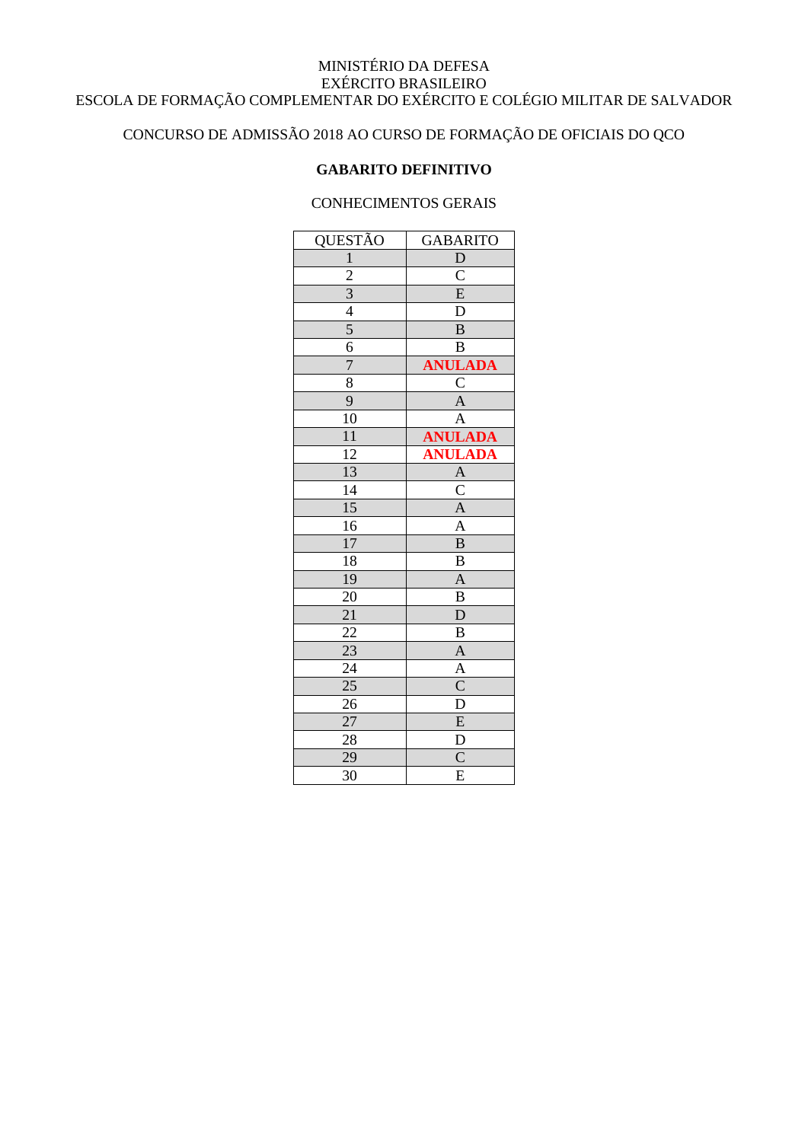#### MINISTÉRIO DA DEFESA EXÉRCITO BRASILEIRO ESCOLA DE FORMAÇÃO COMPLEMENTAR DO EXÉRCITO E COLÉGIO MILITAR DE SALVADOR

## CONCURSO DE ADMISSÃO 2018 AO CURSO DE FORMAÇÃO DE OFICIAIS DO QCO

#### **GABARITO DEFINITIVO**

#### CONHECIMENTOS GERAIS

| QUESTÃO                                                 | <b>GABARITO</b>                                                                                                                                       |
|---------------------------------------------------------|-------------------------------------------------------------------------------------------------------------------------------------------------------|
| $\mathbf{1}$                                            | $\overline{D}$                                                                                                                                        |
|                                                         |                                                                                                                                                       |
|                                                         |                                                                                                                                                       |
|                                                         |                                                                                                                                                       |
| $\frac{2}{3}$ $\frac{3}{4}$ $\frac{4}{5}$ $\frac{6}{7}$ | $rac{\overline{C}}{\overline{D}}$ $rac{\overline{D}}{\overline{B}}$                                                                                   |
|                                                         | $\overline{\mathbf{B}}$                                                                                                                               |
|                                                         | ANULADA<br>C<br>A<br>A<br>ANULADA<br>ANULADA                                                                                                          |
| $\overline{8}$                                          |                                                                                                                                                       |
| 9                                                       |                                                                                                                                                       |
| $\overline{10}$                                         |                                                                                                                                                       |
| $\overline{11}$                                         |                                                                                                                                                       |
| $\overline{12}$                                         |                                                                                                                                                       |
| $\frac{13}{14}$ $\frac{15}{15}$                         |                                                                                                                                                       |
|                                                         |                                                                                                                                                       |
|                                                         | $\frac{\overline{A}}{\overline{C}}\frac{\overline{A}}{\overline{A}}\frac{\overline{B}}{\overline{B}}\frac{\overline{B}}{\overline{A}}}{\overline{B}}$ |
| $\overline{16}$                                         |                                                                                                                                                       |
| $\overline{17}$                                         |                                                                                                                                                       |
| $\frac{18}{19}$                                         |                                                                                                                                                       |
|                                                         |                                                                                                                                                       |
| $\overline{20}$                                         |                                                                                                                                                       |
| $\frac{1}{21}$<br>$\frac{21}{22}$                       |                                                                                                                                                       |
|                                                         |                                                                                                                                                       |
| $\frac{23}{24}$                                         | $\frac{\overline{B}}{\overline{A}}\frac{\overline{A}}{\overline{C}}\frac{\overline{C}}{\overline{D}}}{\overline{D}}$                                  |
|                                                         |                                                                                                                                                       |
| $\frac{1}{25}$                                          |                                                                                                                                                       |
| $\frac{2}{6}$                                           |                                                                                                                                                       |
| $\overline{27}$                                         |                                                                                                                                                       |
| 28                                                      |                                                                                                                                                       |
| 29                                                      |                                                                                                                                                       |
| 30                                                      | $\overline{E}$                                                                                                                                        |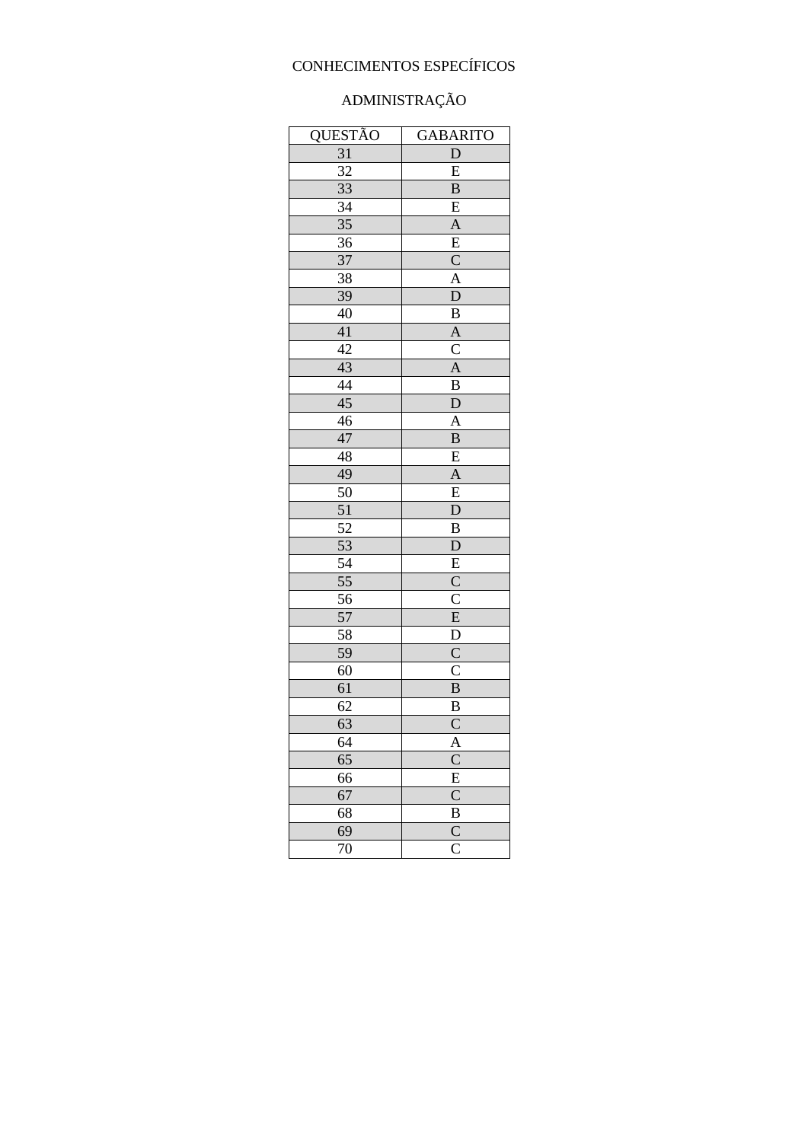# ADMINISTRAÇÃO

| <b>QUESTÃO</b>  | <b>GABARITO</b>                     |
|-----------------|-------------------------------------|
| 31              | $\mathbf D$                         |
| 32              | $\overline{E}$                      |
| 33              | $\overline{B}$                      |
| 34              | $\overline{E}$                      |
| 35              | $\overline{A}$                      |
| 36              | $\overline{E}$                      |
| $\overline{37}$ | $\overline{C}$                      |
| $\overline{38}$ | $\frac{\overline{A}}{D}$            |
| 39              |                                     |
| $\overline{40}$ | $\overline{\mathbf{B}}$             |
| $\overline{41}$ | $\overline{A}$                      |
| 42              | $\overline{\text{C}}$               |
| 43              | $\overline{A}$                      |
| $\overline{44}$ | $\overline{B}$                      |
| $\overline{45}$ | $\overline{D}$                      |
| 46              | $\overline{A}$                      |
| 47              | $\overline{B}$                      |
| $\overline{48}$ | $\overline{E}$                      |
| 49              | $\frac{1}{\underline{A}}$           |
| $\overline{50}$ | $\overline{E}$                      |
| 51              | $\overline{D}$                      |
| 52              | $\bf{B}$                            |
| 53              | $\overline{D}$                      |
| $\overline{54}$ | $\overline{E}$                      |
| $\overline{55}$ |                                     |
| 56              | $rac{C}{E}$                         |
| 57              |                                     |
| 58              | $\overline{D}$                      |
| 59              | $\overline{C}$                      |
| 60              | $\overline{\rm c}$                  |
| 61              | $\overline{B}$                      |
| 62              | B                                   |
| 63              | $\overline{C}$                      |
| 64              | A                                   |
| $\overline{65}$ |                                     |
| 66              | $\frac{\overline{C}}{\overline{E}}$ |
| 67              | $\overline{\rm C}$                  |
| 68              | B                                   |
| 69              | $\overline{\rm C}$                  |
| 70              | $\overline{\rm C}$                  |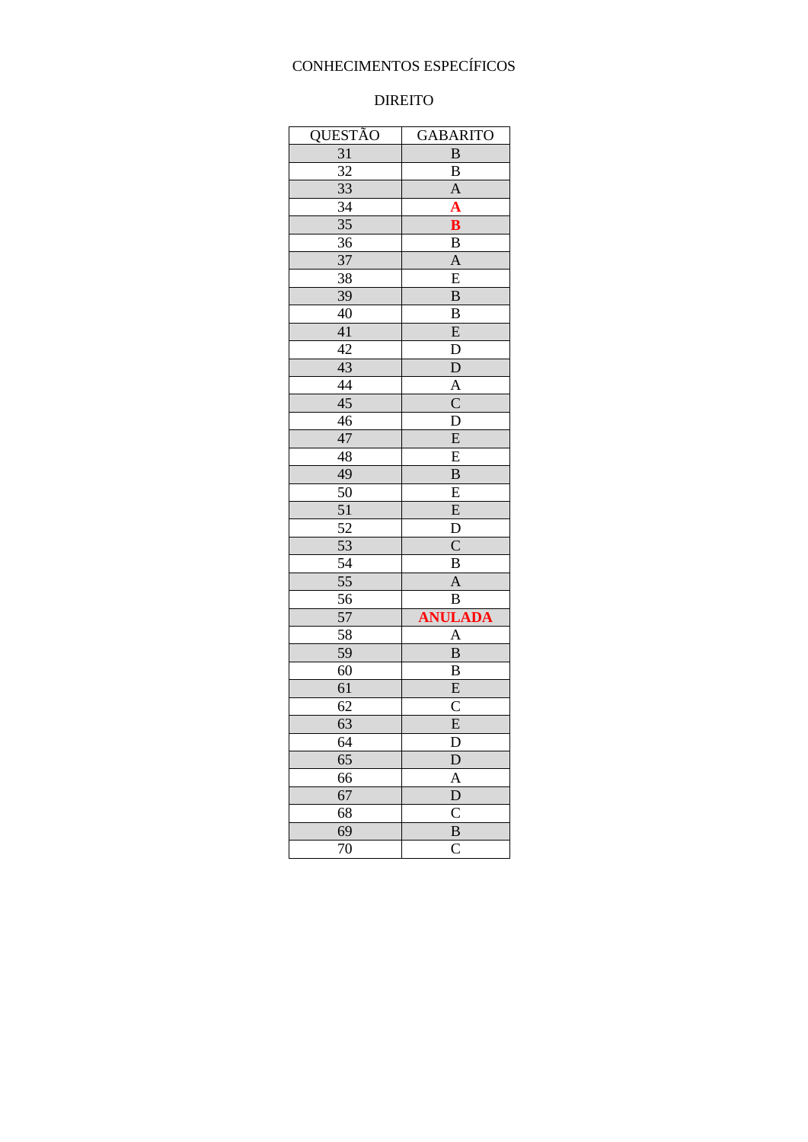#### **DIREITO**

| <b>QUESTÃO</b>  | <b>GABARITO</b>         |
|-----------------|-------------------------|
| 31              | $\bf{B}$                |
| $\overline{32}$ | $\overline{B}$          |
| 33              | $\mathbf{A}$            |
| $\overline{34}$ | $\overline{\mathbf{A}}$ |
| $\overline{35}$ | $\overline{\mathbf{B}}$ |
| 36              | B                       |
| $\overline{37}$ | $\mathbf{A}$            |
| 38              | $\overline{E}$          |
| 39              | $\overline{B}$          |
| 40              | B                       |
| 41              | E                       |
| 42              | D                       |
| $\overline{43}$ | $\overline{D}$          |
| $\overline{44}$ | $rac{A}{C}$             |
| $\overline{45}$ |                         |
| 46              | $\overline{D}$          |
| 47              | $\overline{\mathrm{E}}$ |
| 48              | $\overline{E}$          |
| 49              | $\overline{\mathbf{B}}$ |
| $\overline{50}$ | $\overline{E}$          |
| 51              | $\overline{E}$          |
| 52              | D                       |
| 53              | $\overline{C}$          |
| $\overline{54}$ | $\overline{B}$          |
| $\frac{55}{5}$  | $\frac{A}{B}$           |
| 56              |                         |
| 57              | <b>ANULADA</b>          |
| $\overline{58}$ | A                       |
| 59              | $\overline{B}$          |
| 60              | $\overline{B}$          |
| 61              | $\overline{E}$          |
| 62              | C                       |
| 63              | E                       |
| $\overline{64}$ | D                       |
| 65              | $\overline{D}$          |
| 66              | $\overline{A}$          |
| 67              | $\overline{D}$          |
| 68              | $\overline{C}$          |
| 69              | $\overline{B}$          |
| 70              | $\overline{C}$          |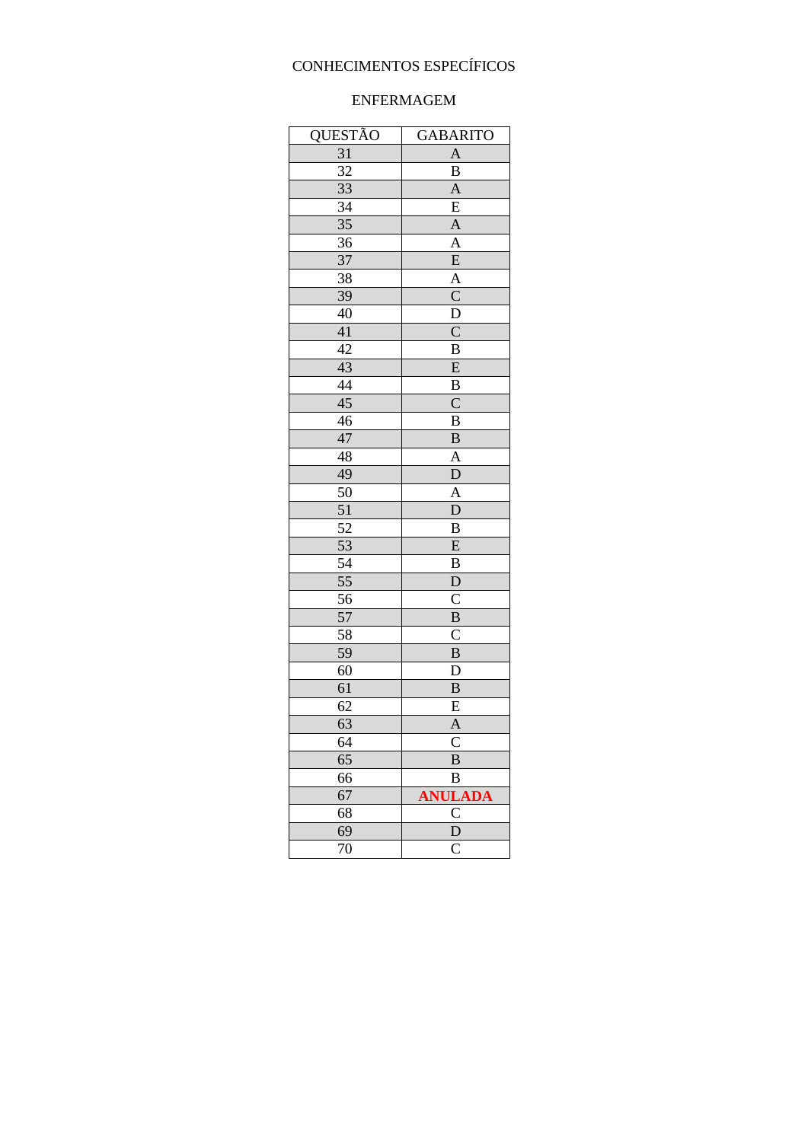#### **ENFERMAGEM**

| QUESTÃO         | <b>GABARITO</b>                    |
|-----------------|------------------------------------|
| $\overline{31}$ | $\overline{A}$                     |
| 32              | B                                  |
| 33              | $\mathbf{A}$                       |
| $\overline{34}$ | $\overline{E}$                     |
| $\overline{35}$ | $\overline{A}$                     |
| 36              | $\frac{1}{A}$                      |
| 37              | $\overline{E}$                     |
| $\overline{38}$ | $rac{A}{C}$                        |
| 39              |                                    |
| 40              | $\overline{\overline{\mathrm{D}}}$ |
| 41              | $\overline{\rm C}$                 |
| 42              | B                                  |
| 43              | E                                  |
| $\overline{44}$ | $\overline{B}$                     |
| $\overline{45}$ | $\overline{C}$                     |
| 46              | $\overline{B}$                     |
| 47              | B                                  |
| 48              | A                                  |
| 49              | $\overline{D}$                     |
| 50              | A                                  |
| $\overline{51}$ | $\overline{D}$                     |
| 52              | B                                  |
| 53              | $\overline{E}$                     |
| $\overline{54}$ | $\bf{B}$                           |
| $\overline{55}$ | $\overline{D}$                     |
| 56              | $\overline{C}$                     |
| 57              | $\overline{B}$                     |
| 58              | $\overline{C}$                     |
| $\overline{59}$ | $\overline{B}$                     |
| 60              | D                                  |
| 61              | $\overline{B}$                     |
| 62              | E                                  |
| 63              | $\overline{A}$                     |
| 64              | $\overline{\rm C}$                 |
| 65              |                                    |
| 66              | ANULADA                            |
| 67              |                                    |
| 68              |                                    |
| 69              |                                    |
| 70              |                                    |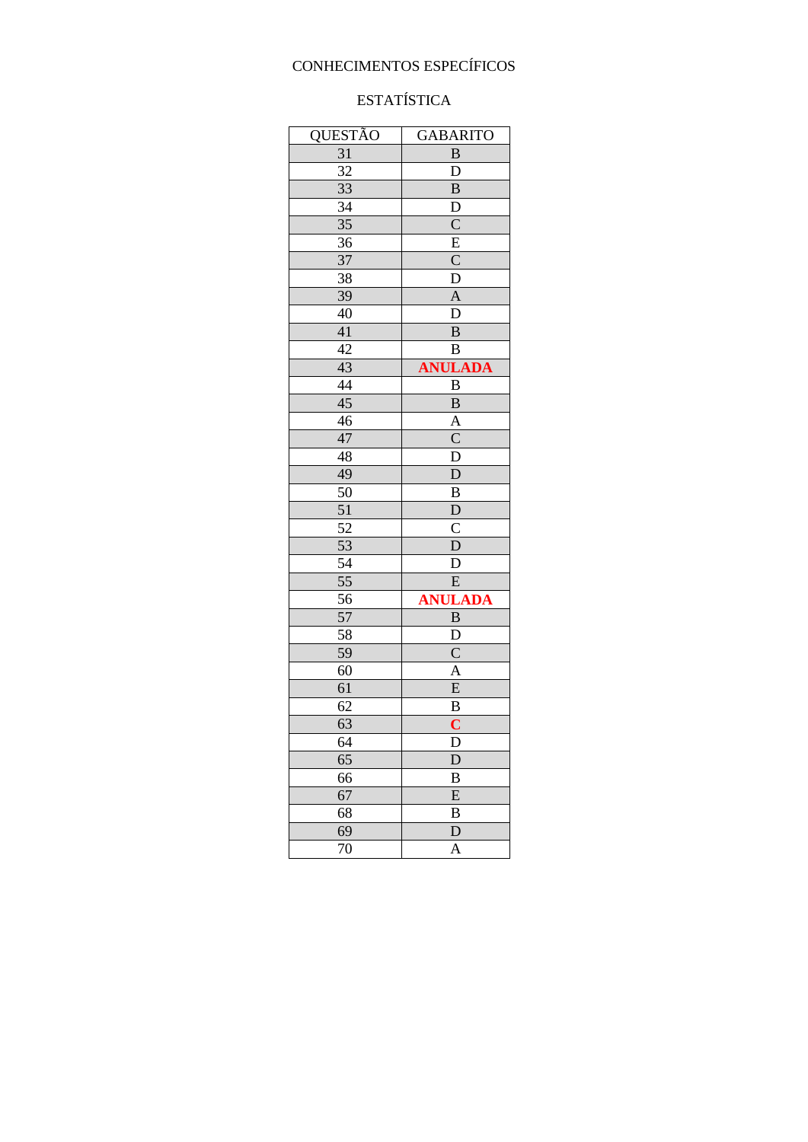## **ESTATÍSTICA**

| QUESTÃO         | <b>GABARITO</b>                    |
|-----------------|------------------------------------|
| 31              | $\bf{B}$                           |
| 32              | D                                  |
| 33              | $\, {\bf B}$                       |
| 34              | $\overline{D}$                     |
| 35              | $\overline{C}$                     |
| 36              | $\overline{E}$                     |
| 37              | $\overline{C}$                     |
| $\overline{38}$ | $\overline{\rm D}$                 |
| 39              | $\overline{A}$                     |
| $\overline{40}$ | $\overline{\overline{\mathrm{D}}}$ |
| 41              | $\, {\bf B}$                       |
| $\overline{42}$ | $\bf{B}$                           |
| 43              | <b>ANULADA</b>                     |
| 44              | $\bf{B}$                           |
| 45              | $\boldsymbol{B}$                   |
| 46              | $\overline{A}$                     |
| 47              | $\overline{C}$                     |
| 48              | D                                  |
| 49              | $\overline{D}$                     |
| $5\overline{0}$ | $\overline{B}$                     |
| 51              | $\overline{D}$                     |
| 52              | $\mathsf{C}$                       |
| 53              | $\overline{D}$                     |
| $\overline{54}$ | $\overline{D}$                     |
| 55              | $\overline{E}$                     |
| 56              | <b>ANULADA</b>                     |
| 57              | $\bf{B}$                           |
| 58              | $\mathbf D$                        |
| 59              | $\overline{C}$                     |
| 60              | A                                  |
| 61              | $\overline{E}$                     |
| 62              | B                                  |
| 63              | $\overline{\mathbf{C}}$            |
| 64              | D                                  |
| $\overline{65}$ | $\overline{D}$                     |
| 66              | B                                  |
| 67              | E                                  |
| 68              | $\bf{B}$                           |
| 69              | $\overline{D}$                     |
| 70              | A                                  |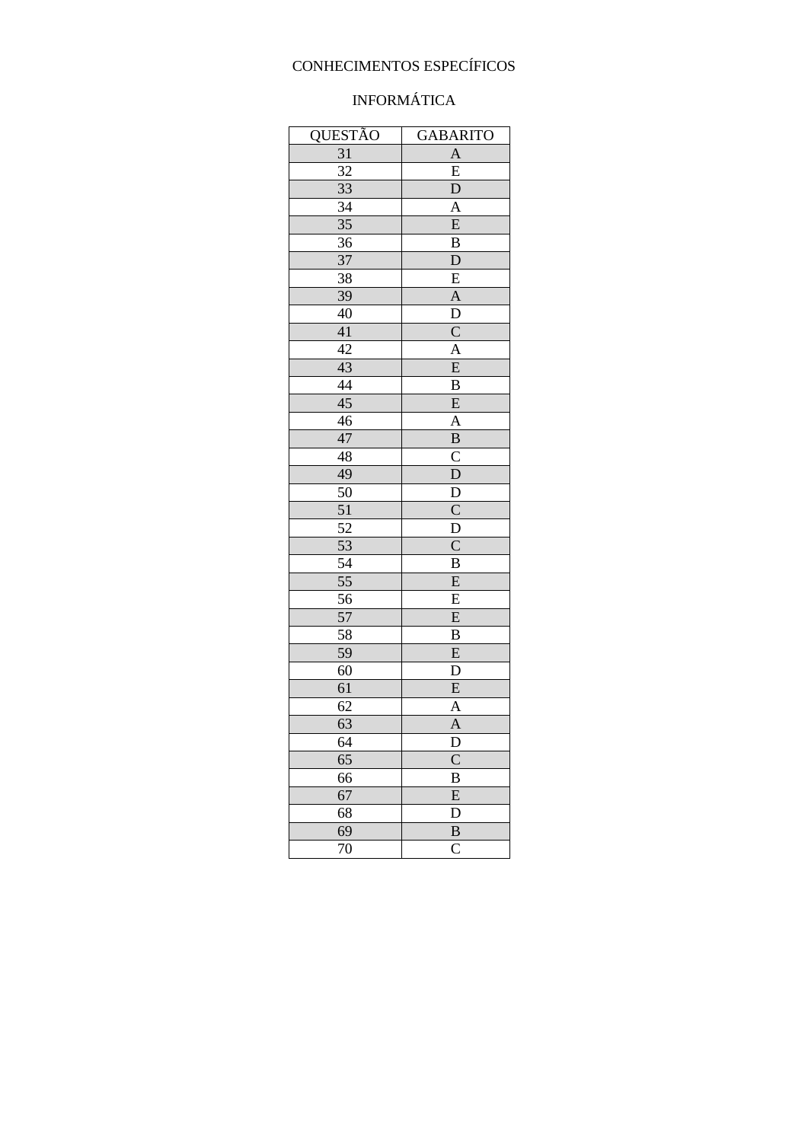## **INFORMÁTICA**

| QUESTÃO         | <b>GABARITO</b>                     |
|-----------------|-------------------------------------|
| $\overline{31}$ | $\overline{A}$                      |
| 32              | $\overline{E}$                      |
| 33              | $\overline{D}$                      |
| $\overline{34}$ |                                     |
| 35              | $\frac{A}{E}$                       |
| 36              | $\overline{B}$                      |
| $\overline{37}$ | $\overline{D}$                      |
| $\overline{38}$ | $\overline{E}$                      |
| 39              |                                     |
| 40              |                                     |
| 41              | $\frac{\overline{A}}{\overline{D}}$ |
| $\overline{42}$ | $\overline{A}$                      |
| 43              | $\overline{E}$                      |
| 44              | $\overline{B}$                      |
| $\overline{45}$ | $\overline{E}$                      |
| 46              | $\overline{A}$                      |
| 47              | $\overline{B}$                      |
| $\overline{48}$ | $\overline{C}$                      |
| 49              | $\overline{D}$                      |
| 50              | $\overline{D}$                      |
| 51              | $rac{\overline{C}}{\overline{D}}$   |
| $5\overline{2}$ |                                     |
| 53              | $\overline{C}$                      |
| $\overline{54}$ | $\overline{B}$                      |
| 55              | $\overline{E}$                      |
| 56              | $\overline{E}$                      |
| 57              | $\overline{E}$                      |
| 58              | $\bf{B}$                            |
| 59              | $\overline{E}$                      |
| 60              | $\overline{D}$                      |
| 61              | $\overline{E}$                      |
| 62              | $\frac{\overline{A}}{\overline{A}}$ |
| 63              |                                     |
| 64              | D                                   |
| $\overline{65}$ | $\overline{\rm C}$                  |
| 66              | $\overline{B}$                      |
| 67              | E                                   |
| 68              | D                                   |
| 69              | $\overline{\mathbf{B}}$             |
| 70              | $\overline{\rm c}$                  |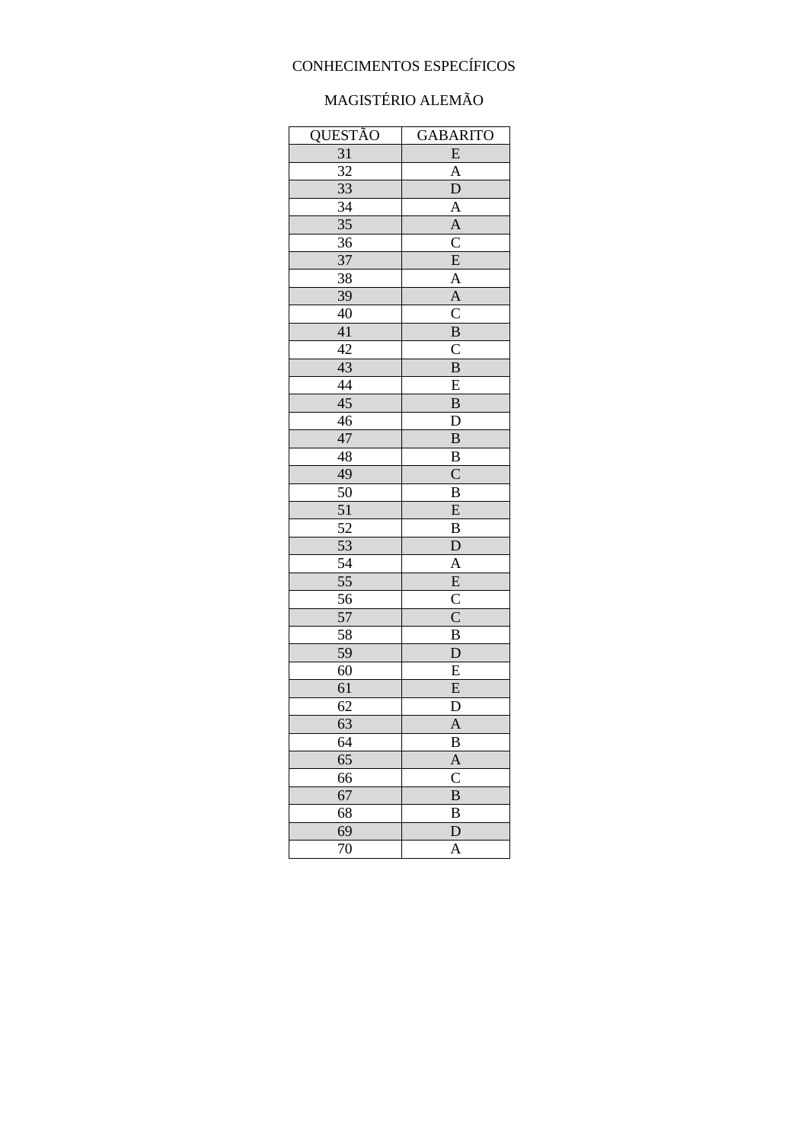## MAGISTÉRIO ALEMÃO

| QUESTÃO         | <b>GABARITO</b>                     |
|-----------------|-------------------------------------|
| 31              | E                                   |
| 32              | $\frac{A}{D}$                       |
| $\overline{33}$ |                                     |
| $\overline{34}$ |                                     |
| $\overline{35}$ | $\frac{\overline{A}}{\overline{A}}$ |
| 36              |                                     |
| 37              | $\overline{E}$                      |
| 38              |                                     |
| 39              | $\frac{\overline{A}}{\overline{A}}$ |
| $\overline{40}$ | $\overline{\overline{\text{C}}}$    |
| 41              | $\overline{B}$                      |
| $\overline{42}$ | $\overline{C}$                      |
| 43              | $\overline{B}$                      |
| 44              | $\overline{E}$                      |
| $\overline{45}$ | $\overline{B}$                      |
| $4\overline{6}$ | $\overline{D}$                      |
| 47              | $\overline{B}$                      |
| 48              | $\bf{B}$                            |
| 49              | $\overline{C}$                      |
| 50              | $\overline{B}$                      |
| 51              | $\overline{E}$                      |
| 52              | B                                   |
| 53              | $\overline{D}$                      |
| 54              | $\frac{\overline{A}}{\overline{E}}$ |
| $\overline{55}$ |                                     |
| 56              | $\overline{\rm c}$                  |
| 57              | $\overline{C}$                      |
| 58              | $\bf{B}$                            |
| 59              | $\overline{D}$                      |
| 60              | $\overline{E}$                      |
| 61              | $\overline{E}$                      |
| 62              | D                                   |
| 63              | $\mathbf{A}$                        |
| 64              | B                                   |
| $\overline{65}$ | $rac{A}{C}$                         |
| 66              |                                     |
| 67              | $\overline{B}$                      |
| 68              | $\overline{B}$                      |
| 69              | $\overline{D}$                      |
| 70              | A                                   |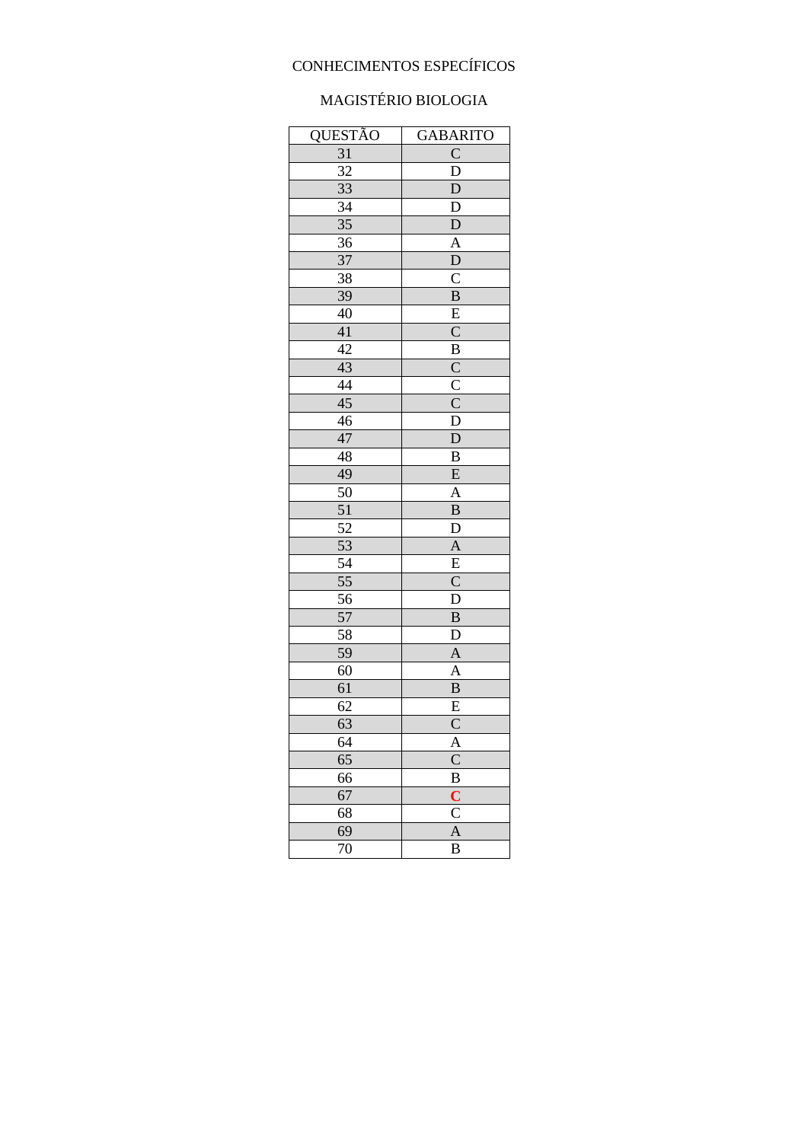## MAGISTÉRIO BIOLOGIA

| QUESTÃO         | <b>GABARITO</b>                                                         |
|-----------------|-------------------------------------------------------------------------|
| 31              | $\overline{C}$                                                          |
| 32              | D                                                                       |
| 33              | $\mathbf D$                                                             |
| $\overline{34}$ |                                                                         |
| $\overline{35}$ | $\frac{\overline{D}}{D}$                                                |
| 36              | $\frac{\overline{A}}{D}$                                                |
| 37              |                                                                         |
| $\overline{38}$ | $\overline{\overline{C}}$                                               |
| 39              | $\overline{B}$                                                          |
| 40              | $\frac{\overline{E}}{C}$                                                |
| 41              |                                                                         |
| $\overline{42}$ |                                                                         |
| 43              |                                                                         |
| $\overline{44}$ |                                                                         |
| $\overline{45}$ | $\frac{\overline{B}}{\overline{C}}$ $\frac{\overline{C}}{\overline{D}}$ |
| 46              |                                                                         |
| 47              | $\overline{D}$                                                          |
| 48              | $\bf{B}$                                                                |
| 49              | $\overline{\mathrm{E}}$                                                 |
| 50              | $\overline{A}$                                                          |
| 51              | $\overline{B}$                                                          |
| 52              | $\overline{D}$                                                          |
| 53              | $\overline{A}$                                                          |
| $\overline{54}$ | $rac{E}{C}$                                                             |
| $\overline{55}$ |                                                                         |
| 56              |                                                                         |
| 57              | $\overline{B}$                                                          |
| 58              | D                                                                       |
| 59              | $\mathbf{A}$                                                            |
| 60              |                                                                         |
| 61              | $\frac{A}{B}$                                                           |
| 62              | $\overline{E}$                                                          |
| 63              | $\overline{C}$                                                          |
| 64              | $\overline{A}$                                                          |
| $\overline{65}$ | $\overline{\text{C}}$                                                   |
| 66              | $\frac{\overline{B}}{C}$                                                |
| 67              |                                                                         |
| 68              | C                                                                       |
| 69              | $\overline{A}$                                                          |
| 70              | $\overline{B}$                                                          |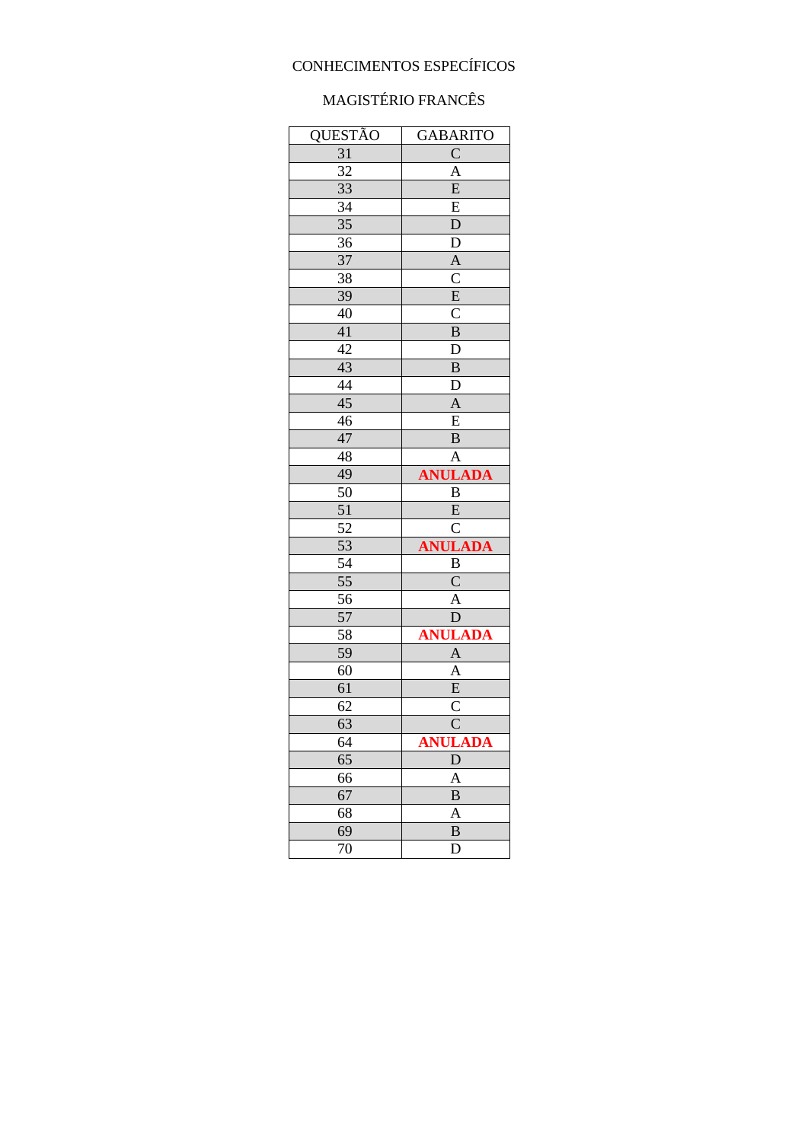## MAGISTÉRIO FRANCÊS

| QUESTÃO         | <b>GABARITO</b>                     |
|-----------------|-------------------------------------|
| 31              | $\overline{C}$                      |
| $\overline{32}$ | $\frac{\overline{A}}{\overline{E}}$ |
| 33              |                                     |
| $\overline{34}$ | $\overline{E}$                      |
| $\overline{35}$ | $\overline{D}$                      |
| 36              | D                                   |
| $\overline{37}$ | $\overline{A}$                      |
| 38              |                                     |
| 39              | $rac{\overline{C}}{\overline{E}}$   |
| 40              |                                     |
| 41              | $\overline{B}$                      |
| 42              | $\overline{D}$                      |
| 43              | $\overline{B}$                      |
| 44              | $\overline{D}$                      |
| 45              | $\overline{A}$                      |
| 46              | $\overline{E}$                      |
| 47              | $\overline{B}$                      |
| 48              | $\overline{A}$                      |
| 49              | <b>ANULADA</b>                      |
| $\overline{50}$ |                                     |
| 51              | $\frac{\text{B}}{\text{E}}$         |
| $\overline{52}$ | $\overline{C}$                      |
| $\overline{53}$ | <b>ANULADA</b>                      |
| $\overline{54}$ | $\overline{B}$                      |
| 55              | $\frac{\overline{C}}{\overline{A}}$ |
| $\overline{56}$ |                                     |
| 57              |                                     |
| $\overline{58}$ | <b>ANULADA</b>                      |
| 59              |                                     |
| 60              | $\frac{A}{E}$ $\frac{E}{C}$         |
| $\overline{61}$ |                                     |
| 62              |                                     |
| 63              | $\overline{\text{C}}$               |
| $\overline{64}$ | <b>ANULADA</b>                      |
| $\overline{65}$ | D                                   |
| 66              | $\mathbf{A}$                        |
| 67              | $\overline{B}$                      |
| 68              | $\overline{A}$                      |
| 69              | $\bf{B}$                            |
| 70              | D                                   |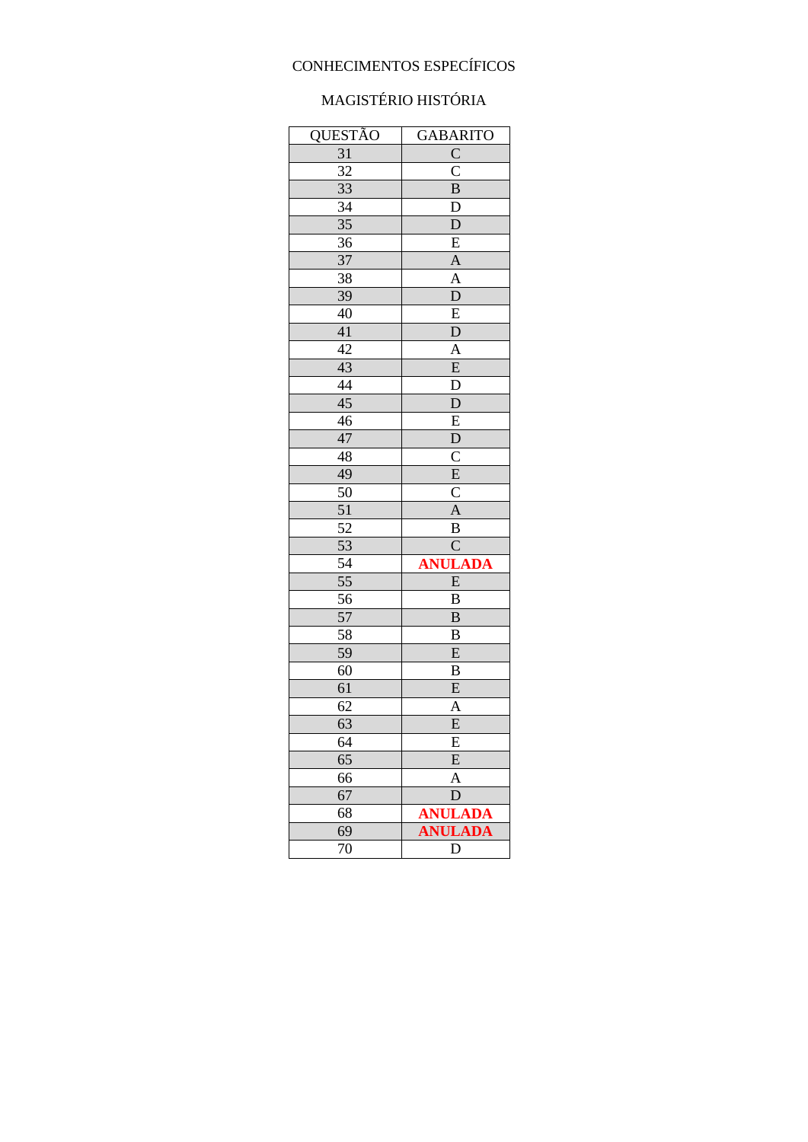## MAGISTÉRIO HISTÓRIA

| QUESTÃO         | <b>GABARITO</b>           |
|-----------------|---------------------------|
| 31              | $\overline{C}$            |
| 32              | $\overline{\text{C}}$     |
| $\overline{33}$ | $\overline{\mathbf{B}}$   |
| $\overline{34}$ | $\overline{D}$            |
| $\overline{35}$ | $\overline{D}$            |
| 36              | E                         |
| 37              | $\overline{A}$            |
| $\overline{38}$ | $\overline{A}$            |
| 39              | $\overline{D}$            |
| 40              | $\frac{1}{E}$             |
| 41              | $\overline{D}$            |
| $\overline{42}$ | $\mathbf{A}$              |
| 43              | $\overline{E}$            |
| 44              | $\overline{D}$            |
| 45              | $\overline{D}$            |
| 46              | $\overline{E}$            |
| 47              | $\overline{D}$            |
| 48              | $\overline{C}$            |
| 49              | $\overline{E}$            |
| 50              | $\overline{\overline{C}}$ |
| 51              | $\overline{A}$            |
| 52              | $\bf{B}$                  |
| 53              | $\overline{\rm C}$        |
| $\overline{54}$ | ANULADA                   |
| $\overline{55}$ | $\overline{E}$            |
| 56              | B                         |
| 57              | $\overline{B}$            |
| 58              | $\bf{B}$                  |
| 59              | E                         |
| 60              | $\bf{B}$                  |
| 61              | E                         |
| 62              | A                         |
| 63              | E                         |
| 64              | E                         |
| $\overline{65}$ | $\overline{E}$            |
| 66              | $\overline{\mathsf{A}}$   |
| 67              | D                         |
| 68              | <b>ANULADA</b>            |
| 69              | <b>ANULADA</b>            |
| 70              | D                         |